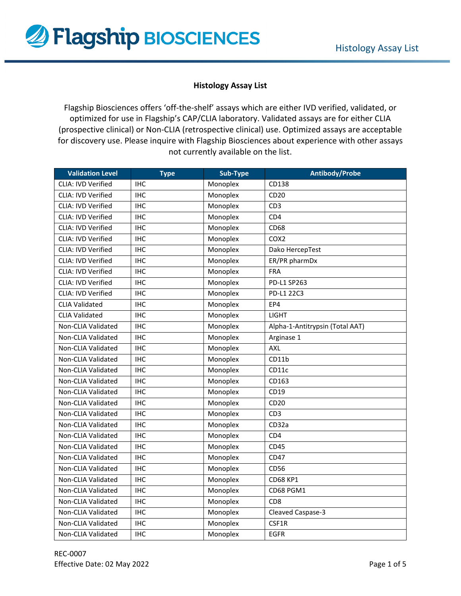

## **Histology Assay List**

Flagship Biosciences offers 'off-the-shelf' assays which are either IVD verified, validated, or optimized for use in Flagship's CAP/CLIA laboratory. Validated assays are for either CLIA (prospective clinical) or Non‐CLIA (retrospective clinical) use. Optimized assays are acceptable for discovery use. Please inquire with Flagship Biosciences about experience with other assays not currently available on the list.

| <b>Validation Level</b>   | <b>Type</b> | Sub-Type | <b>Antibody/Probe</b>           |
|---------------------------|-------------|----------|---------------------------------|
| <b>CLIA: IVD Verified</b> | <b>IHC</b>  | Monoplex | CD138                           |
| <b>CLIA: IVD Verified</b> | <b>IHC</b>  | Monoplex | CD20                            |
| CLIA: IVD Verified        | <b>IHC</b>  | Monoplex | CD <sub>3</sub>                 |
| CLIA: IVD Verified        | <b>IHC</b>  | Monoplex | CD4                             |
| <b>CLIA: IVD Verified</b> | <b>IHC</b>  | Monoplex | <b>CD68</b>                     |
| CLIA: IVD Verified        | <b>IHC</b>  | Monoplex | COX <sub>2</sub>                |
| CLIA: IVD Verified        | <b>IHC</b>  | Monoplex | Dako HercepTest                 |
| CLIA: IVD Verified        | <b>IHC</b>  | Monoplex | ER/PR pharmDx                   |
| CLIA: IVD Verified        | <b>IHC</b>  | Monoplex | <b>FRA</b>                      |
| CLIA: IVD Verified        | <b>IHC</b>  | Monoplex | PD-L1 SP263                     |
| <b>CLIA: IVD Verified</b> | <b>IHC</b>  | Monoplex | PD-L1 22C3                      |
| <b>CLIA Validated</b>     | <b>IHC</b>  | Monoplex | EP4                             |
| <b>CLIA Validated</b>     | <b>IHC</b>  | Monoplex | <b>LIGHT</b>                    |
| Non-CLIA Validated        | <b>IHC</b>  | Monoplex | Alpha-1-Antitrypsin (Total AAT) |
| Non-CLIA Validated        | <b>IHC</b>  | Monoplex | Arginase 1                      |
| Non-CLIA Validated        | <b>IHC</b>  | Monoplex | AXL                             |
| Non-CLIA Validated        | <b>IHC</b>  | Monoplex | CD11b                           |
| Non-CLIA Validated        | <b>IHC</b>  | Monoplex | CD11c                           |
| Non-CLIA Validated        | <b>IHC</b>  | Monoplex | CD163                           |
| Non-CLIA Validated        | <b>IHC</b>  | Monoplex | CD19                            |
| Non-CLIA Validated        | <b>IHC</b>  | Monoplex | CD20                            |
| Non-CLIA Validated        | <b>IHC</b>  | Monoplex | CD <sub>3</sub>                 |
| Non-CLIA Validated        | <b>IHC</b>  | Monoplex | CD32a                           |
| Non-CLIA Validated        | <b>IHC</b>  | Monoplex | CD4                             |
| Non-CLIA Validated        | <b>IHC</b>  | Monoplex | <b>CD45</b>                     |
| Non-CLIA Validated        | <b>IHC</b>  | Monoplex | CD47                            |
| Non-CLIA Validated        | <b>IHC</b>  | Monoplex | CD56                            |
| Non-CLIA Validated        | <b>IHC</b>  | Monoplex | <b>CD68 KP1</b>                 |
| Non-CLIA Validated        | <b>IHC</b>  | Monoplex | CD68 PGM1                       |
| Non-CLIA Validated        | <b>IHC</b>  | Monoplex | CD <sub>8</sub>                 |
| Non-CLIA Validated        | <b>IHC</b>  | Monoplex | Cleaved Caspase-3               |
| Non-CLIA Validated        | <b>IHC</b>  | Monoplex | CSF1R                           |
| Non-CLIA Validated        | <b>IHC</b>  | Monoplex | <b>EGFR</b>                     |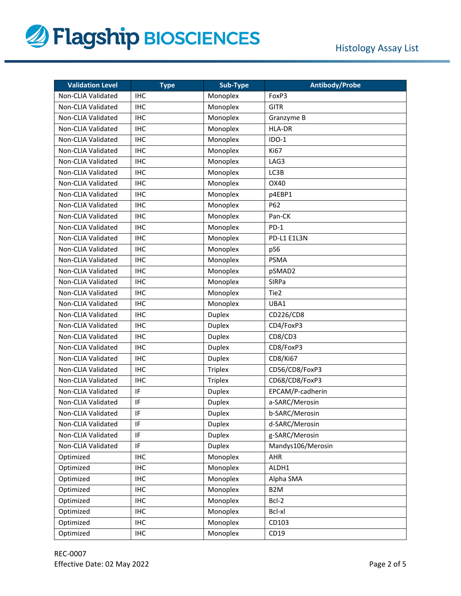

| <b>Validation Level</b> | <b>Type</b> | Sub-Type       | <b>Antibody/Probe</b> |
|-------------------------|-------------|----------------|-----------------------|
| Non-CLIA Validated      | <b>IHC</b>  | Monoplex       | FoxP3                 |
| Non-CLIA Validated      | <b>IHC</b>  | Monoplex       | <b>GITR</b>           |
| Non-CLIA Validated      | <b>IHC</b>  | Monoplex       | Granzyme B            |
| Non-CLIA Validated      | <b>IHC</b>  | Monoplex       | <b>HLA-DR</b>         |
| Non-CLIA Validated      | <b>IHC</b>  | Monoplex       | $IDO-1$               |
| Non-CLIA Validated      | <b>IHC</b>  | Monoplex       | Ki67                  |
| Non-CLIA Validated      | <b>IHC</b>  | Monoplex       | LAG3                  |
| Non-CLIA Validated      | <b>IHC</b>  | Monoplex       | LC3B                  |
| Non-CLIA Validated      | <b>IHC</b>  | Monoplex       | OX40                  |
| Non-CLIA Validated      | <b>IHC</b>  | Monoplex       | p4EBP1                |
| Non-CLIA Validated      | <b>IHC</b>  | Monoplex       | P62                   |
| Non-CLIA Validated      | <b>IHC</b>  | Monoplex       | Pan-CK                |
| Non-CLIA Validated      | <b>IHC</b>  | Monoplex       | $PD-1$                |
| Non-CLIA Validated      | <b>IHC</b>  | Monoplex       | PD-L1 E1L3N           |
| Non-CLIA Validated      | <b>IHC</b>  | Monoplex       | pS6                   |
| Non-CLIA Validated      | <b>IHC</b>  | Monoplex       | <b>PSMA</b>           |
| Non-CLIA Validated      | <b>IHC</b>  | Monoplex       | pSMAD2                |
| Non-CLIA Validated      | <b>IHC</b>  | Monoplex       | SIRPa                 |
| Non-CLIA Validated      | <b>IHC</b>  | Monoplex       | Tie2                  |
| Non-CLIA Validated      | <b>IHC</b>  | Monoplex       | UBA1                  |
| Non-CLIA Validated      | <b>IHC</b>  | <b>Duplex</b>  | CD226/CD8             |
| Non-CLIA Validated      | <b>IHC</b>  | <b>Duplex</b>  | CD4/FoxP3             |
| Non-CLIA Validated      | <b>IHC</b>  | <b>Duplex</b>  | CD8/CD3               |
| Non-CLIA Validated      | <b>IHC</b>  | <b>Duplex</b>  | CD8/FoxP3             |
| Non-CLIA Validated      | <b>IHC</b>  | <b>Duplex</b>  | CD8/Ki67              |
| Non-CLIA Validated      | <b>IHC</b>  | <b>Triplex</b> | CD56/CD8/FoxP3        |
| Non-CLIA Validated      | <b>IHC</b>  | <b>Triplex</b> | CD68/CD8/FoxP3        |
| Non-CLIA Validated      | IF          | <b>Duplex</b>  | EPCAM/P-cadherin      |
| Non-CLIA Validated      | IF          | <b>Duplex</b>  | a-SARC/Merosin        |
| Non-CLIA Validated      | IF          | <b>Duplex</b>  | b-SARC/Merosin        |
| Non-CLIA Validated      | IF          | <b>Duplex</b>  | d-SARC/Merosin        |
| Non-CLIA Validated      | IF          | <b>Duplex</b>  | g-SARC/Merosin        |
| Non-CLIA Validated      | IF          | <b>Duplex</b>  | Mandys106/Merosin     |
| Optimized               | <b>IHC</b>  | Monoplex       | AHR                   |
| Optimized               | <b>IHC</b>  | Monoplex       | ALDH1                 |
| Optimized               | <b>IHC</b>  | Monoplex       | Alpha SMA             |
| Optimized               | <b>IHC</b>  | Monoplex       | B <sub>2</sub> M      |
| Optimized               | <b>IHC</b>  | Monoplex       | Bcl-2                 |
| Optimized               | <b>IHC</b>  | Monoplex       | Bcl-xl                |
| Optimized               | <b>IHC</b>  | Monoplex       | CD103                 |
| Optimized               | <b>IHC</b>  | Monoplex       | CD19                  |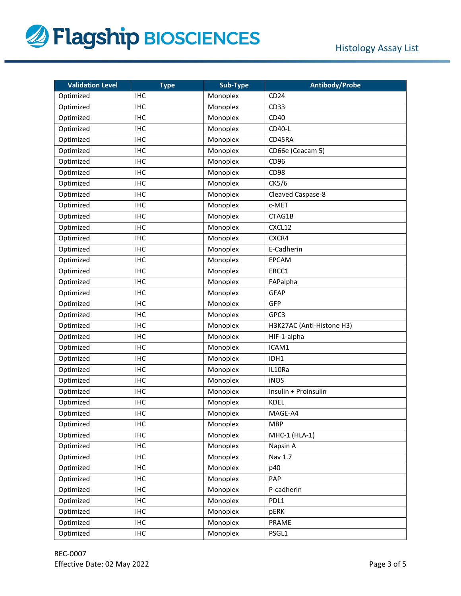

| <b>Validation Level</b> | <b>Type</b> | Sub-Type | <b>Antibody/Probe</b>     |
|-------------------------|-------------|----------|---------------------------|
| Optimized               | <b>IHC</b>  | Monoplex | CD24                      |
| Optimized               | <b>IHC</b>  | Monoplex | CD33                      |
| Optimized               | <b>IHC</b>  | Monoplex | CD40                      |
| Optimized               | <b>IHC</b>  | Monoplex | CD40-L                    |
| Optimized               | <b>IHC</b>  | Monoplex | CD45RA                    |
| Optimized               | <b>IHC</b>  | Monoplex | CD66e (Ceacam 5)          |
| Optimized               | <b>IHC</b>  | Monoplex | CD <sub>96</sub>          |
| Optimized               | <b>IHC</b>  | Monoplex | <b>CD98</b>               |
| Optimized               | <b>IHC</b>  | Monoplex | CK5/6                     |
| Optimized               | <b>IHC</b>  | Monoplex | Cleaved Caspase-8         |
| Optimized               | <b>IHC</b>  | Monoplex | c-MET                     |
| Optimized               | <b>IHC</b>  | Monoplex | CTAG1B                    |
| Optimized               | <b>IHC</b>  | Monoplex | CXCL12                    |
| Optimized               | <b>IHC</b>  | Monoplex | CXCR4                     |
| Optimized               | <b>IHC</b>  | Monoplex | E-Cadherin                |
| Optimized               | <b>IHC</b>  | Monoplex | <b>EPCAM</b>              |
| Optimized               | <b>IHC</b>  | Monoplex | ERCC1                     |
| Optimized               | <b>IHC</b>  | Monoplex | FAPalpha                  |
| Optimized               | <b>IHC</b>  | Monoplex | <b>GFAP</b>               |
| Optimized               | <b>IHC</b>  | Monoplex | GFP                       |
| Optimized               | <b>IHC</b>  | Monoplex | GPC3                      |
| Optimized               | <b>IHC</b>  | Monoplex | H3K27AC (Anti-Histone H3) |
| Optimized               | <b>IHC</b>  | Monoplex | HIF-1-alpha               |
| Optimized               | <b>IHC</b>  | Monoplex | ICAM1                     |
| Optimized               | <b>IHC</b>  | Monoplex | IDH1                      |
| Optimized               | <b>IHC</b>  | Monoplex | IL10Ra                    |
| Optimized               | <b>IHC</b>  | Monoplex | <b>iNOS</b>               |
| Optimized               | <b>IHC</b>  | Monoplex | Insulin + Proinsulin      |
| Optimized               | <b>IHC</b>  | Monoplex | <b>KDEL</b>               |
| Optimized               | <b>IHC</b>  | Monoplex | MAGE-A4                   |
| Optimized               | <b>IHC</b>  | Monoplex | <b>MBP</b>                |
| Optimized               | <b>IHC</b>  | Monoplex | MHC-1 (HLA-1)             |
| Optimized               | <b>IHC</b>  | Monoplex | Napsin A                  |
| Optimized               | <b>IHC</b>  | Monoplex | Nav 1.7                   |
| Optimized               | <b>IHC</b>  | Monoplex | p40                       |
| Optimized               | <b>IHC</b>  | Monoplex | PAP                       |
| Optimized               | IHC         | Monoplex | P-cadherin                |
| Optimized               | <b>IHC</b>  | Monoplex | PDL1                      |
| Optimized               | <b>IHC</b>  | Monoplex | pERK                      |
| Optimized               | <b>IHC</b>  | Monoplex | PRAME                     |
| Optimized               | <b>IHC</b>  | Monoplex | PSGL1                     |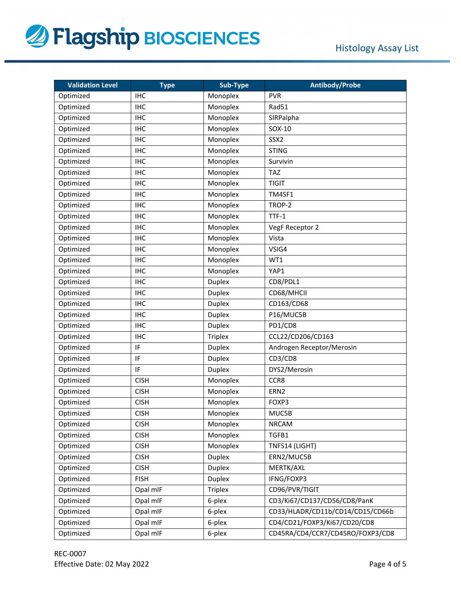

| <b>Validation Level</b> | <b>Type</b> | Sub-Type       | <b>Antibody/Probe</b>            |
|-------------------------|-------------|----------------|----------------------------------|
| Optimized               | <b>IHC</b>  | Monoplex       | <b>PVR</b>                       |
| Optimized               | <b>IHC</b>  | Monoplex       | Rad51                            |
| Optimized               | <b>IHC</b>  | Monoplex       | SIRPalpha                        |
| Optimized               | <b>IHC</b>  | Monoplex       | SOX-10                           |
| Optimized               | <b>IHC</b>  | Monoplex       | SSX <sub>2</sub>                 |
| Optimized               | <b>IHC</b>  | Monoplex       | <b>STING</b>                     |
| Optimized               | <b>IHC</b>  | Monoplex       | Survivin                         |
| Optimized               | <b>IHC</b>  | Monoplex       | <b>TAZ</b>                       |
| Optimized               | <b>IHC</b>  | Monoplex       | <b>TIGIT</b>                     |
| Optimized               | <b>IHC</b>  | Monoplex       | TM4SF1                           |
| Optimized               | <b>IHC</b>  | Monoplex       | TROP-2                           |
| Optimized               | <b>IHC</b>  | Monoplex       | $TTF-1$                          |
| Optimized               | <b>IHC</b>  | Monoplex       | VegF Receptor 2                  |
| Optimized               | <b>IHC</b>  | Monoplex       | Vista                            |
| Optimized               | <b>IHC</b>  | Monoplex       | VSIG4                            |
| Optimized               | <b>IHC</b>  | Monoplex       | WT1                              |
| Optimized               | <b>IHC</b>  | Monoplex       | YAP1                             |
| Optimized               | <b>IHC</b>  | Duplex         | CD8/PDL1                         |
| Optimized               | <b>IHC</b>  | Duplex         | CD68/MHCII                       |
| Optimized               | <b>IHC</b>  | Duplex         | CD163/CD68                       |
| Optimized               | <b>IHC</b>  | Duplex         | P16/MUC5B                        |
| Optimized               | <b>IHC</b>  | <b>Duplex</b>  | PD1/CD8                          |
| Optimized               | <b>IHC</b>  | <b>Triplex</b> | CCL22/CD206/CD163                |
| Optimized               | IF          | Duplex         | Androgen Receptor/Merosin        |
| Optimized               | IF          | Duplex         | CD3/CD8                          |
| Optimized               | IF          | <b>Duplex</b>  | DYS2/Merosin                     |
| Optimized               | <b>CISH</b> | Monoplex       | CCR8                             |
| Optimized               | <b>CISH</b> | Monoplex       | ERN <sub>2</sub>                 |
| Optimized               | <b>CISH</b> | Monoplex       | FOXP3                            |
| Optimized               | <b>CISH</b> | Monoplex       | MUC5B                            |
| Optimized               | <b>CISH</b> | Monoplex       | <b>NRCAM</b>                     |
| Optimized               | <b>CISH</b> | Monoplex       | TGFB1                            |
| Optimized               | <b>CISH</b> | Monoplex       | TNFS14 (LIGHT)                   |
| Optimized               | <b>CISH</b> | <b>Duplex</b>  | ERN2/MUC5B                       |
| Optimized               | <b>CISH</b> | <b>Duplex</b>  | MERTK/AXL                        |
| Optimized               | <b>FISH</b> | <b>Duplex</b>  | IFNG/FOXP3                       |
| Optimized               | Opal mIF    | <b>Triplex</b> | CD96/PVR/TIGIT                   |
| Optimized               | Opal mIF    | 6-plex         | CD3/Ki67/CD137/CD56/CD8/PanK     |
| Optimized               | Opal mIF    | 6-plex         | CD33/HLADR/CD11b/CD14/CD15/CD66b |
| Optimized               | Opal mIF    | 6-plex         | CD4/CD21/FOXP3/Ki67/CD20/CD8     |
| Optimized               | Opal mIF    | 6-plex         | CD45RA/CD4/CCR7/CD45RO/FOXP3/CD8 |